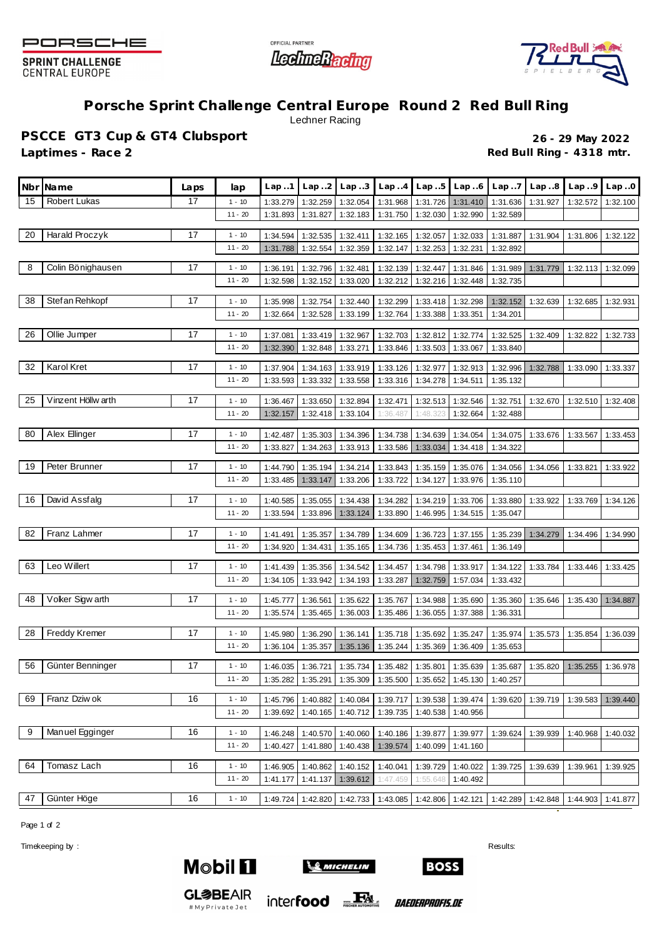

**SPRINT CHALLENGE CENTRAL EUROPE** 





## **Porsche Sprint Challenge Central Europe Round 2 Red Bull Ring** Lechner Racing

**PSCCE GT3 Cup & GT4 Clubsport 26 - 29 May 2022** Laptimes - Race 2 **Red Bull Ring - 4318 mtr.** 

| Nbr | <b>Name</b>         | Laps | lap                   | Lap.1                | Lap.2                | Lap.3                | Lap.4                | Lap.5                | Lap.6                                                | Lap.7                | Lap.8    | Lap.9    | Lap.0    |
|-----|---------------------|------|-----------------------|----------------------|----------------------|----------------------|----------------------|----------------------|------------------------------------------------------|----------------------|----------|----------|----------|
| 15  | <b>Robert Lukas</b> | 17   | $1 - 10$              | 1:33.279             | 1:32.259             | 1:32.054             | 1:31.968             | 1:31.726             | 1:31.410                                             | 1:31.636             | 1:31.927 | 1:32.572 | 1:32.100 |
|     |                     |      | $11 - 20$             | 1:31.893             | 1:31.827             | 1:32.183             | 1:31.750             | 1:32.030             | 1:32.990                                             | 1:32.589             |          |          |          |
| 20  | Harald Proczyk      | 17   | $1 - 10$              | 1:34.594             | 1:32.535             | 1:32.411             | 1:32.165             | 1:32.057             | 1:32.033                                             | 1:31.887             | 1:31.904 | 1:31.806 | 1:32.122 |
|     |                     |      | $11 - 20$             | 1:31.788             | 1:32.554             | 1:32.359             | 1:32.147             | 1:32.253             | 1:32.231                                             | 1:32.892             |          |          |          |
| 8   | Colin Bönighausen   | 17   |                       |                      |                      |                      |                      |                      |                                                      |                      |          |          |          |
|     |                     |      | $1 - 10$<br>$11 - 20$ | 1:36.191<br>1:32.598 | 1:32.796<br>1:32.152 | 1:32.481<br>1:33.020 | 1:32.139<br>1:32.212 | 1:32.447<br>1:32.216 | 1:31.846<br>1:32.448                                 | 1:31.989<br>1:32.735 | 1:31.779 | 1:32.113 | 1:32.099 |
|     |                     |      |                       |                      |                      |                      |                      |                      |                                                      |                      |          |          |          |
| 38  | Stef an Rehkopf     | 17   | $1 - 10$              | 1:35.998             | 1:32.754             | 1:32.440             | 1:32.299             | 1:33.418             | 1:32.298                                             | 1:32.152             | 1:32.639 | 1:32.685 | 1:32.931 |
|     |                     |      | $11 - 20$             | 1:32.664             | 1:32.528             | 1:33.199             | 1:32.764             | 1:33.388             | 1:33.351                                             | 1:34.201             |          |          |          |
| 26  | Ollie Jumper        | 17   | $1 - 10$              | 1:37.081             | 1:33.419             | 1:32.967             | 1:32.703             | 1:32.812             | 1:32.774                                             | 1:32.525             | 1:32.409 | 1:32.822 | 1:32.733 |
|     |                     |      | $11 - 20$             | 1:32.390             | 1:32.848             | 1:33.271             | 1:33.846             | 1:33.503             | 1:33.067                                             | 1:33.840             |          |          |          |
| 32  | Karol Kret          | 17   | $1 - 10$              |                      |                      |                      |                      |                      |                                                      |                      |          |          |          |
|     |                     |      | $11 - 20$             | 1:37.904<br>1:33.593 | 1:34.163<br>1:33.332 | 1:33.919<br>1:33.558 | 1:33.126<br>1:33.316 | 1:32.977<br>1:34.278 | 1:32.913<br>1:34.511                                 | 1:32.996<br>1:35.132 | 1:32.788 | 1:33.090 | 1:33.337 |
|     |                     |      |                       |                      |                      |                      |                      |                      |                                                      |                      |          |          |          |
| 25  | Vinzent Höllw arth  | 17   | $1 - 10$              | 1:36.467             | 1:33.650             | 1:32.894             | 1:32.471             | 1:32.513             | 1:32.546                                             | 1:32.751             | 1:32.670 | 1:32.510 | 1:32.408 |
|     |                     |      | $11 - 20$             | 1:32.157             | 1:32.418             | 1:33.104             | 1:36.487             | 1:48.323             | 1:32.664                                             | 1:32.488             |          |          |          |
| 80  | Alex Ellinger       | 17   | $1 - 10$              | 1:42.487             | 1:35.303             | 1:34.396             | 1:34.738             | 1:34.639             | 1:34.054                                             | 1:34.075             | 1:33.676 | 1:33.567 | 1:33.453 |
|     |                     |      | $11 - 20$             | 1:33.827             | 1:34.263             | 1:33.913             | 1:33.586             | 1:33.034             | 1:34.418                                             | 1:34.322             |          |          |          |
|     | Peter Brunner       | 17   |                       |                      |                      |                      |                      |                      |                                                      |                      |          |          |          |
| 19  |                     |      | $1 - 10$<br>$11 - 20$ | 1:44.790<br>1:33.485 | 1:35.194<br>1:33.147 | 1:34.214<br>1:33.206 | 1:33.843<br>1:33.722 | 1:35.159<br>1:34.127 | 1:35.076<br>1:33.976                                 | 1:34.056<br>1:35.110 | 1:34.056 | 1:33.821 | 1:33.922 |
|     |                     |      |                       |                      |                      |                      |                      |                      |                                                      |                      |          |          |          |
| 16  | David Assfalg       | 17   | $1 - 10$              | 1:40.585             | 1:35.055             | 1:34.438             | 1:34.282             | 1:34.219             | 1:33.706                                             | 1:33.880             | 1:33.922 | 1:33.769 | 1:34.126 |
|     |                     |      | $11 - 20$             | 1:33.594             | 1:33.896             | 1:33.124             | 1:33.890             | 1:46.995             | 1:34.515                                             | 1:35.047             |          |          |          |
| 82  | Franz Lahmer        | 17   | $1 - 10$              | 1:41.491             | 1:35.357             | 1:34.789             | 1:34.609             | 1:36.723             | 1:37.155                                             | 1:35.239             | 1:34.279 | 1:34.496 | 1:34.990 |
|     |                     |      | $11 - 20$             | 1:34.920             | 1:34.431             | 1:35.165             | 1:34.736             | 1:35.453             | 1:37.461                                             | 1:36.149             |          |          |          |
| 63  | Leo Willert         | 17   | $1 - 10$              |                      |                      |                      |                      | 1:34.798             |                                                      |                      |          |          |          |
|     |                     |      | $11 - 20$             | 1:41.439<br>1:34.105 | 1:35.356<br>1:33.942 | 1:34.542<br>1:34.193 | 1:34.457<br>1:33.287 | 1:32.759             | 1:33.917<br>1:57.034                                 | 1:34.122<br>1:33.432 | 1:33.784 | 1:33.446 | 1:33.425 |
|     |                     |      |                       |                      |                      |                      |                      |                      |                                                      |                      |          |          |          |
| 48  | Voker Sigw arth     | 17   | $1 - 10$              | 1:45.777             | 1:36.561             | 1:35.622             | 1:35.767             | 1:34.988             | 1:35.690                                             | 1:35.360             | 1:35.646 | 1:35.430 | 1:34.887 |
|     |                     |      | $11 - 20$             | 1:35.574             | 1:35.465             | 1:36.003             | 1:35.486             | 1:36.055             | 1:37.388                                             | 1:36.331             |          |          |          |
| 28  | Freddy Kremer       | 17   | $1 - 10$              | 1:45.980             | 1:36.290             | 1:36.141             | 1:35.718             | 1:35.692             | 1:35.247                                             | 1:35.974             | 1:35.573 | 1:35.854 | 1:36.039 |
|     |                     |      | $11 - 20$             | 1:36.104             | 1:35.357             | 1:35.136             | 1:35.244             | 1:35.369             | 1:36.409                                             | 1:35.653             |          |          |          |
| 56  | Günter Benninger    | 17   | $1 - 10$              | 1:46.035             | 1:36.721             | 1:35.734             | 1:35.482             | 1:35.801             | 1:35.639                                             | 1:35.687             | 1:35.820 | 1:35.255 | 1:36.978 |
|     |                     |      | $11 - 20$             |                      | 1:35.282 1:35.291    |                      |                      |                      | 1:35.309   1:35.500   1:35.652   1:45.130   1:40.257 |                      |          |          |          |
|     |                     |      |                       |                      |                      |                      |                      |                      |                                                      |                      |          |          |          |
| 69  | Franz Dziw ok       | 16   | $1 - 10$              | 1:45.796             | 1:40.882             | 1:40.084             | 1:39.717             | 1:39.538             | 1:39.474                                             | 1:39.620             | 1:39.719 | 1:39.583 | 1:39.440 |
|     |                     |      | $11 - 20$             | 1:39.692             | 1:40.165             | 1:40.712             | 1:39.735             | 1:40.538             | 1:40.956                                             |                      |          |          |          |
| 9   | Manuel Egginger     | 16   | $1 - 10$              | 1:46.248             | 1:40.570             | 1:40.060             | 1:40.186             | 1:39.877             | 1:39.977                                             | 1:39.624             | 1:39.939 | 1:40.968 | 1:40.032 |
|     |                     |      | $11 - 20$             | 1:40.427             | 1:41.880             | 1:40.438             | 1:39.574             | 1:40.099             | 1:41.160                                             |                      |          |          |          |
| 64  | Tomasz Lach         | 16   | $1 - 10$              |                      |                      |                      |                      | 1:39.729             |                                                      |                      |          |          |          |
|     |                     |      | $11 - 20$             | 1:46.905<br>1:41.177 | 1:40.862<br>1:41.137 | 1:40.152<br>1:39.612 | 1:40.041<br>1:47.459 | 1:55.648             | 1:40.022<br>1:40.492                                 | 1:39.725             | 1:39.639 | 1:39.961 | 1:39.925 |
|     |                     |      |                       |                      |                      |                      |                      |                      |                                                      |                      |          |          |          |
| 47  | Günter Höge         | 16   | $1 - 10$              | 1:49.724             | 1:42.820             | 1:42.733             | 1:43.085             | 1:42.806             | 1:42.121                                             | 1:42.289             | 1:42.848 | 1:44.903 | 1:41.877 |

Page 1 of 2

Timekeeping by : Results: Results: Results: Results: Results: Results: Results: Results: Results: Results: Results: Results: Results: Results: Results: Results: Results: Results: Results: Results: Results: Results: Results



**GL参BEAIR** 

#MyPrivateJet



inter**food** EX

**BOSS** 

*BAEDERPROFIS.DE*